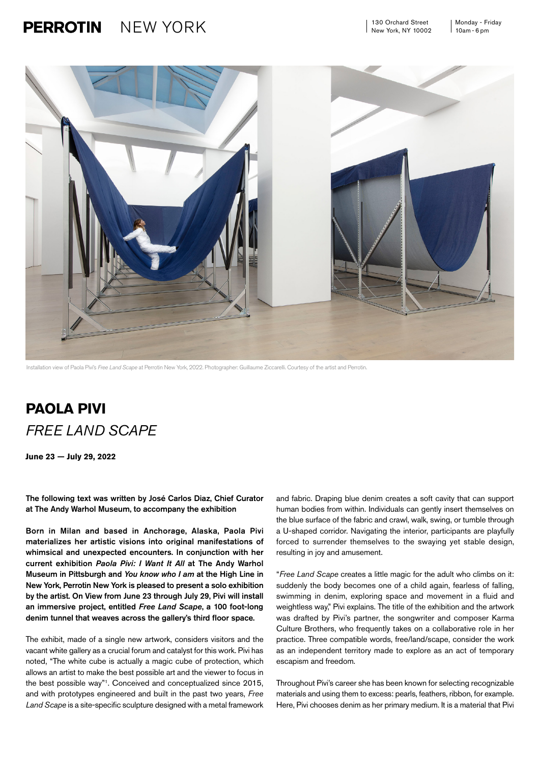## $NEW YORK$  130 Orchard Street Monday - Friday **PERROTIN**



Installation view of Paola Pivi's *Free Land Scape* at Perrotin New York, 2022. Photographer: Guillaume Ziccarelli. Courtesy of the artist and Perrotin.

## **PAOLA PIVI** *FREE LAND SCAPE*

**June 23** — **July 29, 2022**

The following text was written by José Carlos Diaz, Chief Curator at The Andy Warhol Museum, to accompany the exhibition

Born in Milan and based in Anchorage, Alaska, Paola Pivi materializes her artistic visions into original manifestations of whimsical and unexpected encounters. In conjunction with her current exhibition *Paola Pivi: I Want It All* at The Andy Warhol Museum in Pittsburgh and *You know who I am* at the High Line in New York, Perrotin New York is pleased to present a solo exhibition by the artist. On View from June 23 through July 29, Pivi will install an immersive project, entitled *Free Land Scape*, a 100 foot-long denim tunnel that weaves across the gallery's third floor space.

The exhibit, made of a single new artwork, considers visitors and the vacant white gallery as a crucial forum and catalyst for this work. Pivi has noted, "The white cube is actually a magic cube of protection, which allows an artist to make the best possible art and the viewer to focus in the best possible way"1. Conceived and conceptualized since 2015, and with prototypes engineered and built in the past two years, *Free Land Scape* is a site-specific sculpture designed with a metal framework

and fabric. Draping blue denim creates a soft cavity that can support human bodies from within. Individuals can gently insert themselves on the blue surface of the fabric and crawl, walk, swing, or tumble through a U-shaped corridor. Navigating the interior, participants are playfully forced to surrender themselves to the swaying yet stable design. resulting in joy and amusement.

"*Free Land Scape* creates a little magic for the adult who climbs on it: suddenly the body becomes one of a child again, fearless of falling. swimming in denim, exploring space and movement in a fluid and weightless way," Pivi explains. The title of the exhibition and the artwork was drafted by Pivi's partner, the songwriter and composer Karma Culture Brothers, who frequently takes on a collaborative role in her practice. Three compatible words, free/land/scape, consider the work as an independent territory made to explore as an act of temporary escapism and freedom.

Throughout Pivi's career she has been known for selecting recognizable materials and using them to excess: pearls, feathers, ribbon, for example. Here, Pivi chooses denim as her primary medium. It is a material that Pivi